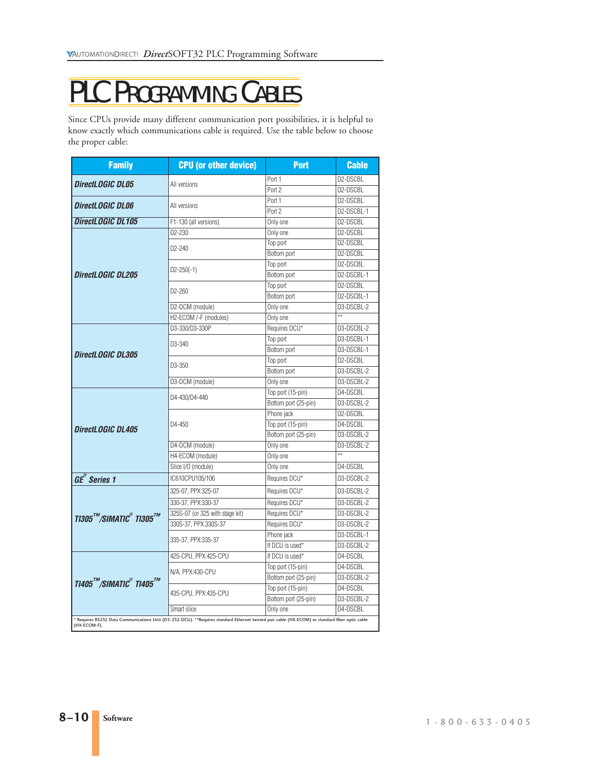## PLC PROGRAMMING CABLES

Since CPUs provide many different communication port possibilities, it is helpful to know exactly which communications cable is required. Use the table below to choose the proper cable:

| <b>Family</b>                                                                                                                                                   | <b>CPU</b> (or other device)    | <b>Port</b>          | <b>Cable</b>          |
|-----------------------------------------------------------------------------------------------------------------------------------------------------------------|---------------------------------|----------------------|-----------------------|
| <b>DirectLOGIC DL05</b>                                                                                                                                         | All versions                    | Port 1               | D2-DSCBL              |
|                                                                                                                                                                 |                                 | Port 2               | D2-DSCBL              |
| <b>DirectLOGIC DL06</b>                                                                                                                                         | All versions                    | Port 1               | D2-DSCBL              |
|                                                                                                                                                                 |                                 | Port 2               | D2-DSCBL-1            |
| DirectLOGIC DL105                                                                                                                                               | F1-130 (all versions)           | Only one             | D2-DSCBL              |
| DirectLOGIC DL205                                                                                                                                               | D2-230                          | Only one             | D2-DSCBL              |
|                                                                                                                                                                 | D2-240                          | Top port             | D2-DSCBL              |
|                                                                                                                                                                 |                                 | Bottom port          | D2-DSCBL              |
|                                                                                                                                                                 | $D2 - 250(-1)$                  | Top port             | D2-DSCBL              |
|                                                                                                                                                                 |                                 | Bottom port          | D2-DSCBL-1            |
|                                                                                                                                                                 | D2-260                          | Top port             | D <sub>2</sub> -DSCBL |
|                                                                                                                                                                 |                                 | Bottom port          | D2-DSCBL-1            |
|                                                                                                                                                                 | D2-DCM (module)                 | Only one             | D3-DSCBL-2            |
|                                                                                                                                                                 | H2-ECOM /-F (modules)           | Only one             | $**$                  |
| DirectLOGIC DL305                                                                                                                                               | D3-330/D3-330P                  | Requires DCU*        | D3-DSCBL-2            |
|                                                                                                                                                                 | D3-340                          | Top port             | D3-DSCBL-1            |
|                                                                                                                                                                 |                                 | Bottom port          | D3-DSCBL-1            |
|                                                                                                                                                                 | D <sub>3</sub> -350             | Top port             | D2-DSCBL              |
|                                                                                                                                                                 |                                 | Bottom port          | D3-DSCBL-2            |
|                                                                                                                                                                 | D3-DCM (module)                 | Only one             | D3-DSCBL-2            |
| DirectLOGIC DL405                                                                                                                                               | D4-430/D4-440                   | Top port (15-pin)    | D4-DSCBL              |
|                                                                                                                                                                 |                                 | Bottom port (25-pin) | D3-DSCBL-2            |
|                                                                                                                                                                 | $D4 - 450$                      | Phone jack           | D2-DSCBL              |
|                                                                                                                                                                 |                                 | Top port (15-pin)    | D4-DSCBL              |
|                                                                                                                                                                 |                                 | Bottom port (25-pin) | D3-DSCBL-2            |
|                                                                                                                                                                 | D4-DCM (module)                 | Only one             | D3-DSCBL-2            |
|                                                                                                                                                                 | H4-ECOM (module)                | Only one             | $\overline{\ast\ast}$ |
|                                                                                                                                                                 | Slice I/O (module)              | Only one             | D4-DSCBL              |
| GE <sup>®</sup> Series 1                                                                                                                                        | IC610CPU105/106                 | Requires DCU*        | D3-DSCBL-2            |
| $T$ 1305 $^{7}$ M/SIMATIC $^{\circ}$ TI305 $^{7}$ M                                                                                                             | 325-07, PPX:325-07              | Requires DCU*        | D3-DSCBL-2            |
|                                                                                                                                                                 | 330-37, PPX:330-37              | Requires DCU*        | D3-DSCBL-2            |
|                                                                                                                                                                 | 325S-07 (or 325 with stage kit) | Requires DCU*        | D3-DSCBL-2            |
|                                                                                                                                                                 | 330S-37, PPX:330S-37            | Requires DCU*        | D3-DSCBL-2            |
|                                                                                                                                                                 | 335-37, PPX:335-37              | Phone jack           | D3-DSCBL-1            |
|                                                                                                                                                                 |                                 | If DCU is used*      | D3-DSCBL-2            |
| $T1405^{^{7M}}$ /SIMATIC $^{\circ}$ TI405 $^{^{7M}}$                                                                                                            | 425-CPU, PPX:425-CPU            | If DCU is used*      | D4-DSCBL              |
|                                                                                                                                                                 | N/A, PPX:430-CPU                | Top port (15-pin)    | D4-DSCBL              |
|                                                                                                                                                                 |                                 | Bottom port (25-pin) | D3-DSCBL-2            |
|                                                                                                                                                                 | 435-CPU, PPX:435-CPU            | Top port (15-pin)    | D4-DSCBL              |
|                                                                                                                                                                 |                                 | Bottom port (25-pin) | D3-DSCBL-2            |
|                                                                                                                                                                 | Smart slice                     | Only one             | D4-DSCBL              |
| * Requires RS232 Data Communications Unit (D3-232-DCU). **Requires standard Ethernet twisted pair cable (HX-ECOM) or standard fiber optic cable<br>(HX-ECOM-F). |                                 |                      |                       |